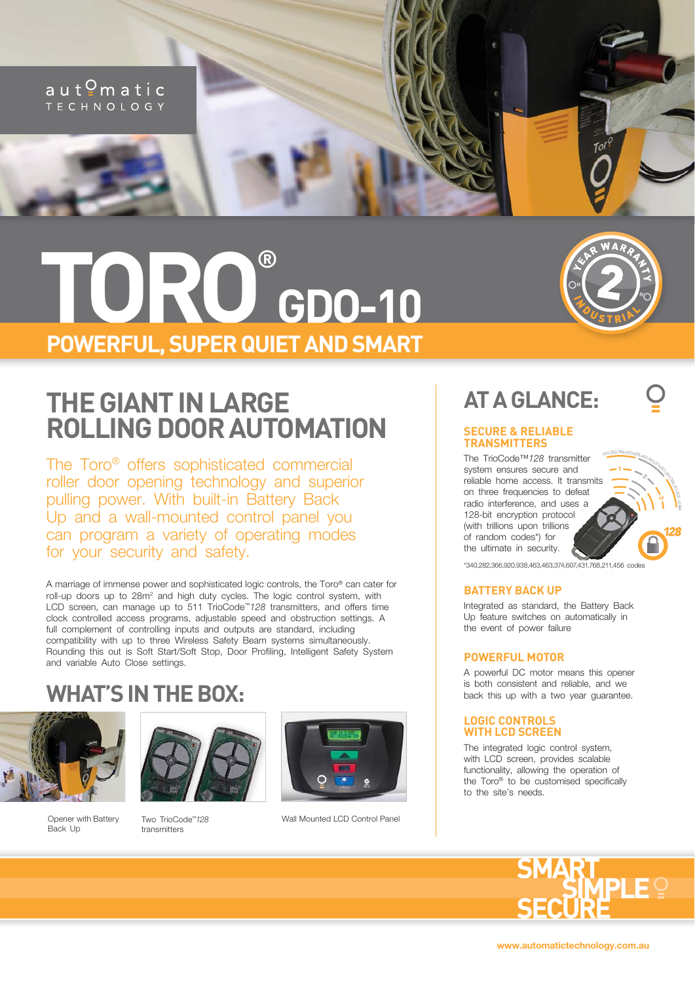

# **TORO GDO-10 POWERFUL, SUPER QUIET AND SMART**

### **THE GIANT IN LARGE ROLLING DOOR AUTOMATION**

The Toro® offers sophisticated commercial roller door opening technology and superior pulling power. With built-in Battery Back Up and a wall-mounted control panel you can program a variety of operating modes for your security and safety.

A marriage of immense power and sophisticated logic controls, the Toro® can cater for roll-up doors up to 28m<sup>2</sup> and high duty cycles. The logic control system, with LCD screen, can manage up to 511 TrioCode™*128* transmitters, and offers time clock controlled access programs, adjustable speed and obstruction settings. A full complement of controlling inputs and outputs are standard, including compatibility with up to three Wireless Safety Beam systems simultaneously. Rounding this out is Soft Start/Soft Stop, Door Profiling, Intelligent Safety System and variable Auto Close settings.

### **WHAT'S IN THE BOX:**



Opener with Battery Back Up



Two TrioCode™*128*  transmitters



Wall Mounted LCD Control Panel



XER WARRANTY

2

WOUSTRIAL

**2**

**3**

 $\hat{3}$  $\beta$  $\epsilon$ code<br>Code s

## **AT A GLANCE:**

### **SECURE & RELIABLE TRANSMITTERS**

**1** <sup>3</sup>40,282,366,920,938,463,463,374,607,431The TrioCode™*128* transmitter system ensures secure and reliable home access. It transmits on three frequencies to defeat radio interference, and uses a 128-bit encryption protocol (with trillions upon trillions of random codes\*) for the ultimate in security.



### **BATTERY BACK UP**

Integrated as standard, the Battery Back Up feature switches on automatically in the event of power failure

#### **POWERFUL MOTOR**

A powerful DC motor means this opener is both consistent and reliable, and we back this up with a two year guarantee.

### **LOGIC CONTROLS WITH LCD SCREEN**

The integrated logic control system, with LCD screen, provides scalable functionality, allowing the operation of the Toro® to be customised specifically to the site's needs.